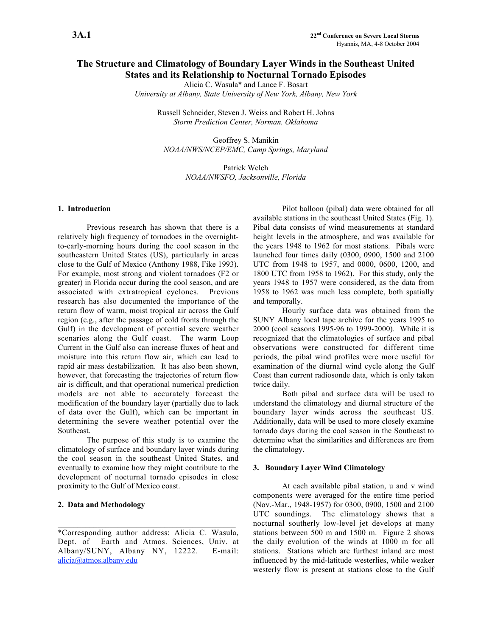# The Structure and Climatology of Boundary Layer Winds in the Southeast United States and its Relationship to Nocturnal Tornado Episodes

Alicia C. Wasula\* and Lance F. Bosart

*University at Albany, State University of New York, Albany, New York*

Russell Schneider, Steven J. Weiss and Robert H. Johns *Storm Prediction Center, Norman, Oklahoma*

Geoffrey S. Manikin *NOAA/NWS/NCEP/EMC, Camp Springs, Maryland*

> Patrick Welch *NOAA/NWSFO, Jacksonville, Florida*

## 1. Introduction

Previous research has shown that there is a relatively high frequency of tornadoes in the overnightto-early-morning hours during the cool season in the southeastern United States (US), particularly in areas close to the Gulf of Mexico (Anthony 1988, Fike 1993). For example, most strong and violent tornadoes (F2 or greater) in Florida occur during the cool season, and are associated with extratropical cyclones. Previous research has also documented the importance of the return flow of warm, moist tropical air across the Gulf region (e.g., after the passage of cold fronts through the Gulf) in the development of potential severe weather scenarios along the Gulf coast. The warm Loop Current in the Gulf also can increase fluxes of heat and moisture into this return flow air, which can lead to rapid air mass destabilization. It has also been shown, however, that forecasting the trajectories of return flow air is difficult, and that operational numerical prediction models are not able to accurately forecast the modification of the boundary layer (partially due to lack of data over the Gulf), which can be important in determining the severe weather potential over the Southeast.

The purpose of this study is to examine the climatology of surface and boundary layer winds during the cool season in the southeast United States, and eventually to examine how they might contribute to the development of nocturnal tornado episodes in close proximity to the Gulf of Mexico coast.

### 2. Data and Methodology

\*Corresponding author address: Alicia C. Wasula, Dept. of Earth and Atmos. Sciences, Univ. at Albany/SUNY, Albany NY, 12222. E-mail: alicia@atmos.albany.edu

Pilot balloon (pibal) data were obtained for all available stations in the southeast United States (Fig. 1). Pibal data consists of wind measurements at standard height levels in the atmosphere, and was available for the years 1948 to 1962 for most stations. Pibals were launched four times daily (0300, 0900, 1500 and 2100 UTC from 1948 to 1957, and 0000, 0600, 1200, and 1800 UTC from 1958 to 1962). For this study, only the years 1948 to 1957 were considered, as the data from 1958 to 1962 was much less complete, both spatially and temporally.

Hourly surface data was obtained from the SUNY Albany local tape archive for the years 1995 to 2000 (cool seasons 1995-96 to 1999-2000). While it is recognized that the climatologies of surface and pibal observations were constructed for different time periods, the pibal wind profiles were more useful for examination of the diurnal wind cycle along the Gulf Coast than current radiosonde data, which is only taken twice daily.

Both pibal and surface data will be used to understand the climatology and diurnal structure of the boundary layer winds across the southeast US. Additionally, data will be used to more closely examine tornado days during the cool season in the Southeast to determine what the similarities and differences are from the climatology.

#### 3. Boundary Layer Wind Climatology

At each available pibal station, u and v wind components were averaged for the entire time period (Nov.-Mar., 1948-1957) for 0300, 0900, 1500 and 2100 UTC soundings. The climatology shows that a nocturnal southerly low-level jet develops at many stations between 500 m and 1500 m. Figure 2 shows the daily evolution of the winds at 1000 m for all stations. Stations which are furthest inland are most influenced by the mid-latitude westerlies, while weaker westerly flow is present at stations close to the Gulf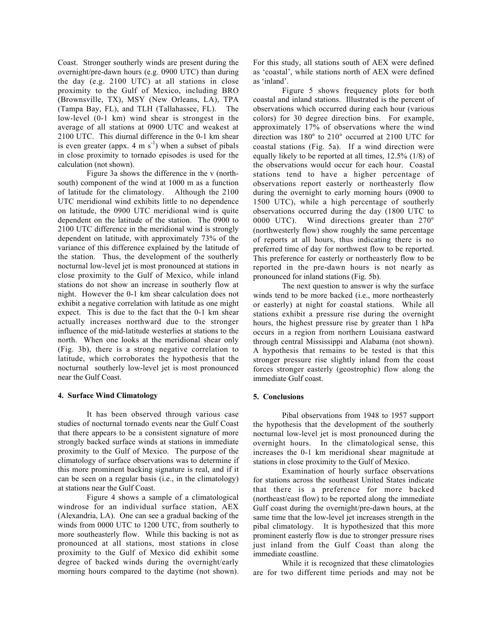Coast. Stronger southerly winds are present during the overnight/pre-dawn hours (e.g. 0900 UTC) than during the day (e.g. 2100 UTC) at all stations in close proximity to the Gulf of Mexico, including BRO (Brownsville, TX), MSY (New Orleans, LA), TPA (Tampa Bay, FL), and TLH (Tallahassee, FL). The low-level (0-1 km) wind shear is strongest in the average of all stations at 0900 UTC and weakest at 2100 UTC. This diurnal difference in the 0-1 km shear is even greater (appx. 4 m  $s^{-1}$ ) when a subset of pibals in close proximity to tornado episodes is used for the calculation (not shown).

Figure 3a shows the difference in the v (northsouth) component of the wind at 1000 m as a function of latitude for the climatology. Although the 2100 UTC meridional wind exhibits little to no dependence on latitude, the 0900 UTC meridional wind is quite dependent on the latitude of the station. The 0900 to 2100 UTC difference in the meridional wind is strongly dependent on latitude, with approximately 73% of the variance of this difference explained by the latitude of the station. Thus, the development of the southerly nocturnal low-level jet is most pronounced at stations in close proximity to the Gulf of Mexico, while inland stations do not show an increase in southerly flow at night. However the 0-1 km shear calculation does not exhibit a negative correlation with latitude as one might expect. This is due to the fact that the 0-1 km shear actually increases northward due to the stronger influence of the mid-latitude westerlies at stations to the north. When one looks at the meridional shear only (Fig. 3b), there is a strong negative correlation to latitude, which corroborates the hypothesis that the nocturnal southerly low-level jet is most pronounced near the Gulf Coast.

#### 4. Surface Wind Climatology

It has been observed through various case studies of nocturnal tornado events near the Gulf Coast that there appears to be a consistent signature of more strongly backed surface winds at stations in immediate proximity to the Gulf of Mexico. The purpose of the climatology of surface observations was to determine if this more prominent backing signature is real, and if it can be seen on a regular basis (i.e., in the climatology) at stations near the Gulf Coast.

Figure 4 shows a sample of a climatological windrose for an individual surface station, AEX (Alexandria, LA). One can see a gradual backing of the winds from 0000 UTC to 1200 UTC, from southerly to more southeasterly flow. While this backing is not as pronounced at all stations, most stations in close proximity to the Gulf of Mexico did exhibit some degree of backed winds during the overnight/early morning hours compared to the daytime (not shown). For this study, all stations south of AEX were defined as 'coastal', while stations north of AEX were defined as 'inland'.

Figure 5 shows frequency plots for both coastal and inland stations. Illustrated is the percent of observations which occurred during each hour (various colors) for 30 degree direction bins. For example, approximately 17% of observations where the wind direction was 180° to 210° occurred at 2100 UTC for coastal stations (Fig. 5a). If a wind direction were equally likely to be reported at all times, 12.5% (1/8) of the observations would occur for each hour. Coastal stations tend to have a higher percentage of observations report easterly or northeasterly flow during the overnight to early morning hours (0900 to 1500 UTC), while a high percentage of southerly observations occurred during the day (1800 UTC to 0000 UTC). Wind directions greater than 270° (northwesterly flow) show roughly the same percentage of reports at all hours, thus indicating there is no preferred time of day for northwest flow to be reported. This preference for easterly or northeasterly flow to be reported in the pre-dawn hours is not nearly as pronounced for inland stations (Fig. 5b).

The next question to answer is why the surface winds tend to be more backed (i.e., more northeasterly or easterly) at night for coastal stations. While all stations exhibit a pressure rise during the overnight hours, the highest pressure rise by greater than 1 hPa occurs in a region from northern Louisiana eastward through central Mississippi and Alabama (not shown). A hypothesis that remains to be tested is that this stronger pressure rise slightly inland from the coast forces stronger easterly (geostrophic) flow along the immediate Gulf coast.

## 5. Conclusions

Pibal observations from 1948 to 1957 support the hypothesis that the development of the southerly nocturnal low-level jet is most pronounced during the overnight hours. In the climatological sense, this increases the 0-1 km meridional shear magnitude at stations in close proximity to the Gulf of Mexico.

Examination of hourly surface observations for stations across the southeast United States indicate that there is a preference for more backed (northeast/east flow) to be reported along the immediate Gulf coast during the overnight/pre-dawn hours, at the same time that the low-level jet increases strength in the pibal climatology. It is hypothesized that this more prominent easterly flow is due to stronger pressure rises just inland from the Gulf Coast than along the immediate coastline.

While it is recognized that these climatologies are for two different time periods and may not be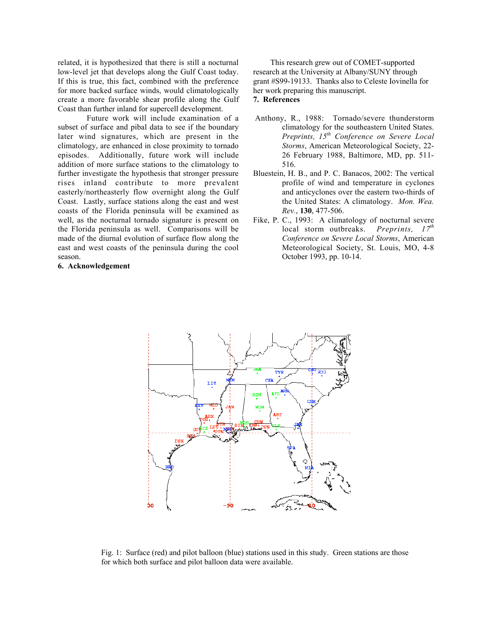related, it is hypothesized that there is still a nocturnal low-level jet that develops along the Gulf Coast today. If this is true, this fact, combined with the preference for more backed surface winds, would climatologically create a more favorable shear profile along the Gulf Coast than further inland for supercell development.

Future work will include examination of a subset of surface and pibal data to see if the boundary later wind signatures, which are present in the climatology, are enhanced in close proximity to tornado episodes. Additionally, future work will include addition of more surface stations to the climatology to further investigate the hypothesis that stronger pressure rises inland contribute to more prevalent easterly/northeasterly flow overnight along the Gulf Coast. Lastly, surface stations along the east and west coasts of the Florida peninsula will be examined as well, as the nocturnal tornado signature is present on the Florida peninsula as well. Comparisons will be made of the diurnal evolution of surface flow along the east and west coasts of the peninsula during the cool season.

#### 6. Acknowledgement

This research grew out of COMET-supported research at the University at Albany/SUNY through grant #S99-19133. Thanks also to Celeste Iovinella for her work preparing this manuscript.

## 7. References

- Anthony, R., 1988: Tornado/severe thunderstorm climatology for the southeastern United States. *Preprints, 15th Conference on Severe Local Storms*, American Meteorological Society, 22- 26 February 1988, Baltimore, MD, pp. 511- 516.
- Bluestein, H. B., and P. C. Banacos, 2002: The vertical profile of wind and temperature in cyclones and anticyclones over the eastern two-thirds of the United States: A climatology. *Mon. Wea. Rev.*, 130, 477-506.
- Fike, P. C., 1993: A climatology of nocturnal severe local storm outbreaks. *Preprints, 17th Conference on Severe Local Storms*, American Meteorological Society, St. Louis, MO, 4-8 October 1993, pp. 10-14.



Fig. 1: Surface (red) and pilot balloon (blue) stations used in this study. Green stations are those for which both surface and pilot balloon data were available.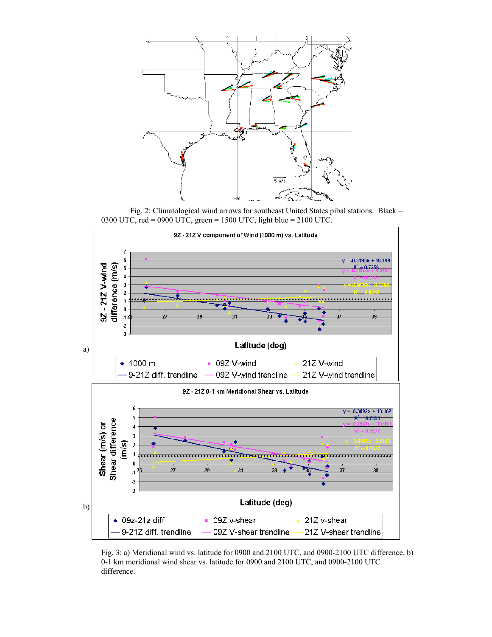

Fig. 2: Climatological wind arrows for southeast United States pibal stations. Black = 0300 UTC, red = 0900 UTC, green = 1500 UTC, light blue = 2100 UTC.



Fig. 3: a) Meridional wind vs. latitude for 0900 and 2100 UTC, and 0900-2100 UTC difference, b) 0-1 km meridional wind shear vs. latitude for 0900 and 2100 UTC, and 0900-2100 UTC difference.